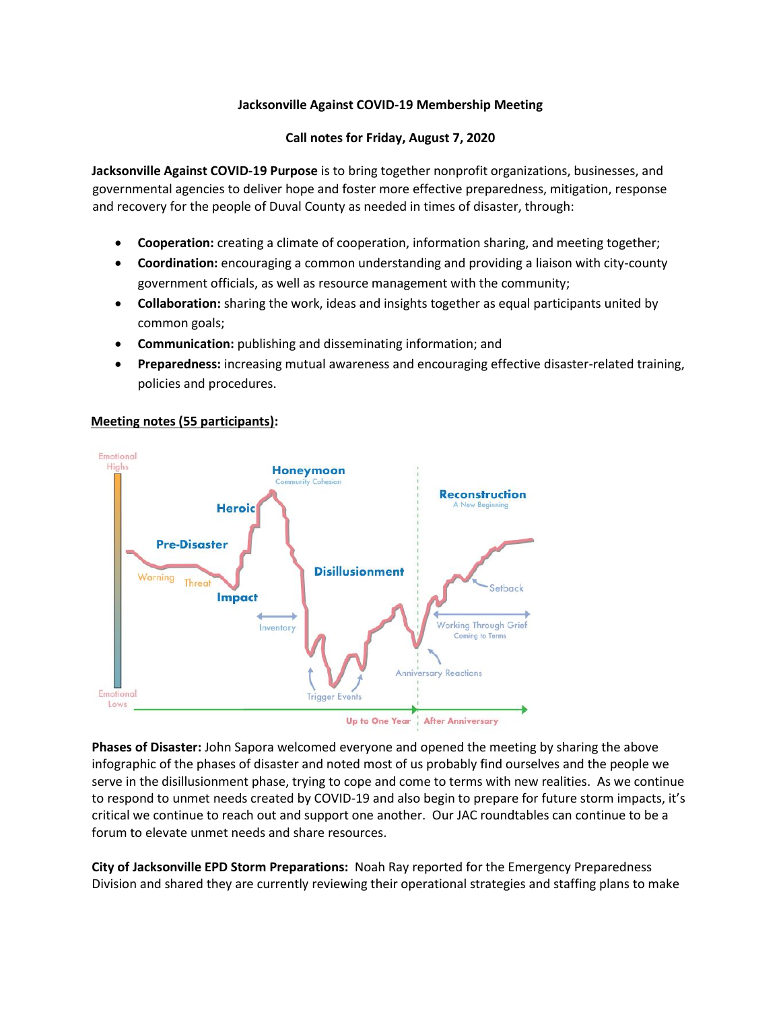# **Jacksonville Against COVID-19 Membership Meeting**

# **Call notes for Friday, August 7, 2020**

**Jacksonville Against COVID-19 Purpose** is to bring together nonprofit organizations, businesses, and governmental agencies to deliver hope and foster more effective preparedness, mitigation, response and recovery for the people of Duval County as needed in times of disaster, through:

- **Cooperation:** creating a climate of cooperation, information sharing, and meeting together;
- **Coordination:** encouraging a common understanding and providing a liaison with city-county government officials, as well as resource management with the community;
- **Collaboration:** sharing the work, ideas and insights together as equal participants united by common goals;
- **Communication:** publishing and disseminating information; and
- **Preparedness:** increasing mutual awareness and encouraging effective disaster-related training, policies and procedures.

# **Meeting notes (55 participants):**



**Phases of Disaster:** John Sapora welcomed everyone and opened the meeting by sharing the above infographic of the phases of disaster and noted most of us probably find ourselves and the people we serve in the disillusionment phase, trying to cope and come to terms with new realities. As we continue to respond to unmet needs created by COVID-19 and also begin to prepare for future storm impacts, it's critical we continue to reach out and support one another. Our JAC roundtables can continue to be a forum to elevate unmet needs and share resources.

**City of Jacksonville EPD Storm Preparations:** Noah Ray reported for the Emergency Preparedness Division and shared they are currently reviewing their operational strategies and staffing plans to make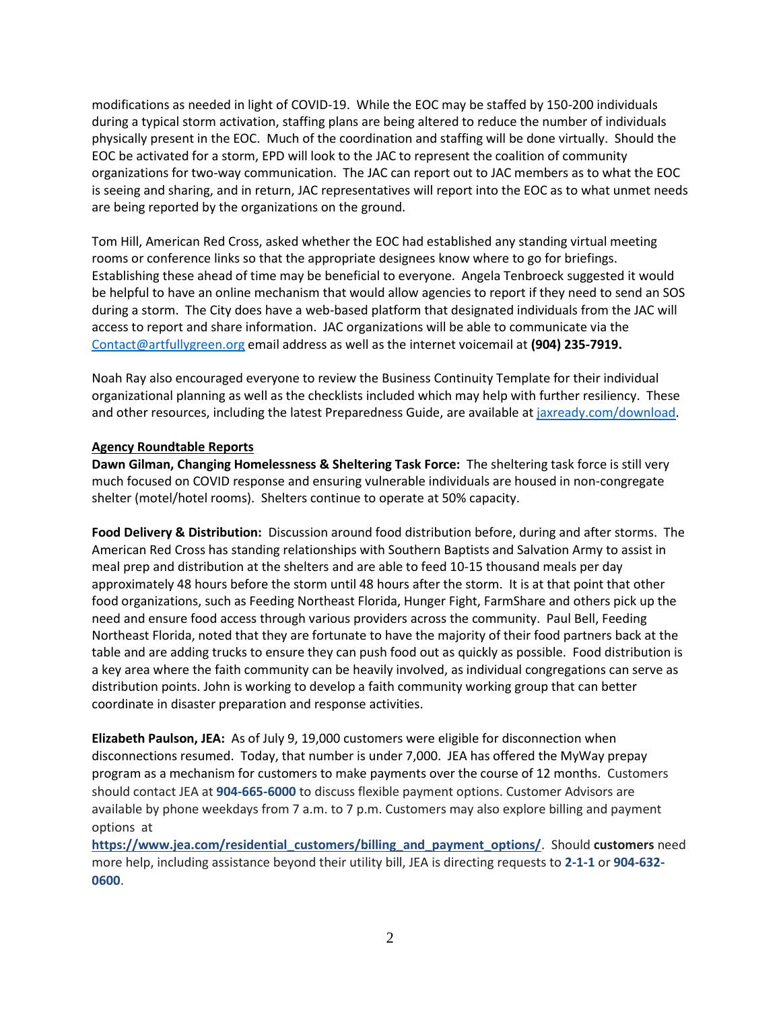modifications as needed in light of COVID-19. While the EOC may be staffed by 150-200 individuals during a typical storm activation, staffing plans are being altered to reduce the number of individuals physically present in the EOC. Much of the coordination and staffing will be done virtually. Should the EOC be activated for a storm, EPD will look to the JAC to represent the coalition of community organizations for two-way communication. The JAC can report out to JAC members as to what the EOC is seeing and sharing, and in return, JAC representatives will report into the EOC as to what unmet needs are being reported by the organizations on the ground.

Tom Hill, American Red Cross, asked whether the EOC had established any standing virtual meeting rooms or conference links so that the appropriate designees know where to go for briefings. Establishing these ahead of time may be beneficial to everyone. Angela Tenbroeck suggested it would be helpful to have an online mechanism that would allow agencies to report if they need to send an SOS during a storm. The City does have a web-based platform that designated individuals from the JAC will access to report and share information. JAC organizations will be able to communicate via the [Contact@artfullygreen.org](mailto:COAD@duvaldisasterrecovery.org) email address as well as the internet voicemail at **(904) 235-7919.**

Noah Ray also encouraged everyone to review the Business Continuity Template for their individual organizational planning as well as the checklists included which may help with further resiliency. These and other resources, including the latest Preparedness Guide, are available a[t jaxready.com/download.](http://www.jaxready.com/download)

### **Agency Roundtable Reports**

**Dawn Gilman, Changing Homelessness & Sheltering Task Force:** The sheltering task force is still very much focused on COVID response and ensuring vulnerable individuals are housed in non-congregate shelter (motel/hotel rooms). Shelters continue to operate at 50% capacity.

**Food Delivery & Distribution:** Discussion around food distribution before, during and after storms. The American Red Cross has standing relationships with Southern Baptists and Salvation Army to assist in meal prep and distribution at the shelters and are able to feed 10-15 thousand meals per day approximately 48 hours before the storm until 48 hours after the storm. It is at that point that other food organizations, such as Feeding Northeast Florida, Hunger Fight, FarmShare and others pick up the need and ensure food access through various providers across the community. Paul Bell, Feeding Northeast Florida, noted that they are fortunate to have the majority of their food partners back at the table and are adding trucks to ensure they can push food out as quickly as possible. Food distribution is a key area where the faith community can be heavily involved, as individual congregations can serve as distribution points. John is working to develop a faith community working group that can better coordinate in disaster preparation and response activities.

**Elizabeth Paulson, JEA:** As of July 9, 19,000 customers were eligible for disconnection when disconnections resumed. Today, that number is under 7,000. JEA has offered the MyWay prepay program as a mechanism for customers to make payments over the course of 12 months. Customers should contact JEA at **904-665-6000** to discuss flexible payment options. Customer Advisors are available by phone weekdays from 7 a.m. to 7 p.m. Customers may also explore billing and payment options at

**[https://www.jea.com/residential\\_customers/billing\\_and\\_payment\\_options/](https://www.jea.com/residential_customers/billing_and_payment_options/)**. Should **customers** need more help, including assistance beyond their utility bill, JEA is directing requests to **2-1-1** or **904-632- 0600**.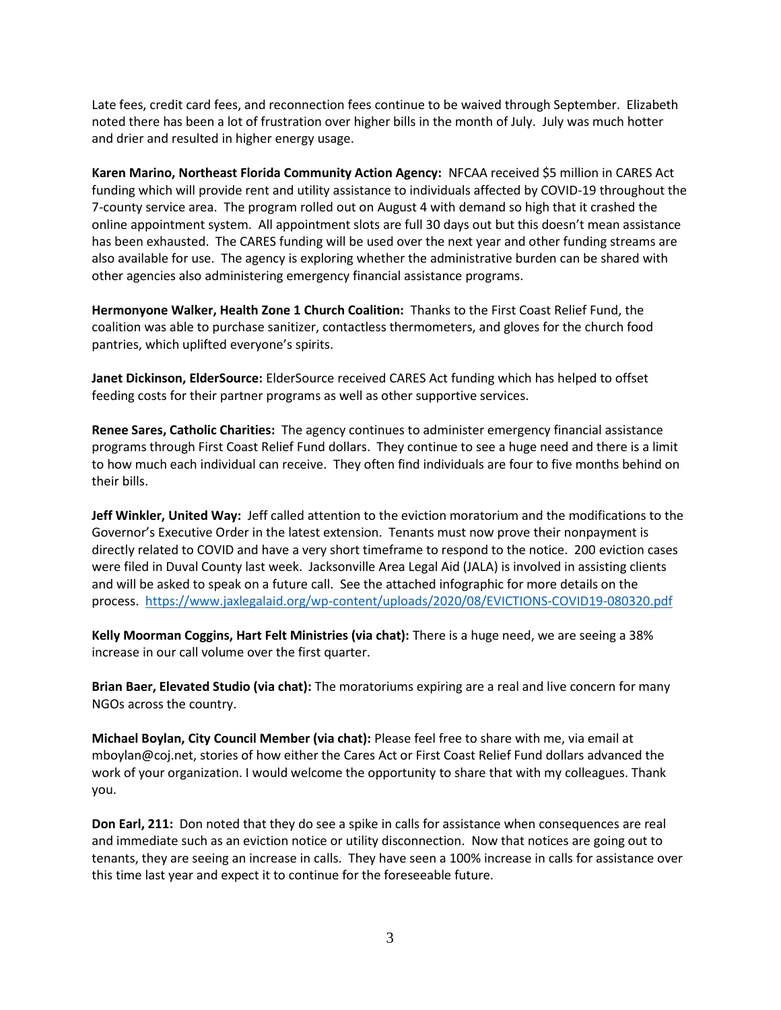Late fees, credit card fees, and reconnection fees continue to be waived through September. Elizabeth noted there has been a lot of frustration over higher bills in the month of July. July was much hotter and drier and resulted in higher energy usage.

**Karen Marino, Northeast Florida Community Action Agency:** NFCAA received \$5 million in CARES Act funding which will provide rent and utility assistance to individuals affected by COVID-19 throughout the 7-county service area. The program rolled out on August 4 with demand so high that it crashed the online appointment system. All appointment slots are full 30 days out but this doesn't mean assistance has been exhausted. The CARES funding will be used over the next year and other funding streams are also available for use. The agency is exploring whether the administrative burden can be shared with other agencies also administering emergency financial assistance programs.

**Hermonyone Walker, Health Zone 1 Church Coalition:** Thanks to the First Coast Relief Fund, the coalition was able to purchase sanitizer, contactless thermometers, and gloves for the church food pantries, which uplifted everyone's spirits.

**Janet Dickinson, ElderSource:** ElderSource received CARES Act funding which has helped to offset feeding costs for their partner programs as well as other supportive services.

**Renee Sares, Catholic Charities:** The agency continues to administer emergency financial assistance programs through First Coast Relief Fund dollars. They continue to see a huge need and there is a limit to how much each individual can receive. They often find individuals are four to five months behind on their bills.

**Jeff Winkler, United Way:** Jeff called attention to the eviction moratorium and the modifications to the Governor's Executive Order in the latest extension. Tenants must now prove their nonpayment is directly related to COVID and have a very short timeframe to respond to the notice. 200 eviction cases were filed in Duval County last week. Jacksonville Area Legal Aid (JALA) is involved in assisting clients and will be asked to speak on a future call. See the attached infographic for more details on the process. <https://www.jaxlegalaid.org/wp-content/uploads/2020/08/EVICTIONS-COVID19-080320.pdf>

**Kelly Moorman Coggins, Hart Felt Ministries (via chat):** There is a huge need, we are seeing a 38% increase in our call volume over the first quarter.

**Brian Baer, Elevated Studio (via chat):** The moratoriums expiring are a real and live concern for many NGOs across the country.

**Michael Boylan, City Council Member (via chat):** Please feel free to share with me, via email at mboylan@coj.net, stories of how either the Cares Act or First Coast Relief Fund dollars advanced the work of your organization. I would welcome the opportunity to share that with my colleagues. Thank you.

**Don Earl, 211:** Don noted that they do see a spike in calls for assistance when consequences are real and immediate such as an eviction notice or utility disconnection. Now that notices are going out to tenants, they are seeing an increase in calls. They have seen a 100% increase in calls for assistance over this time last year and expect it to continue for the foreseeable future.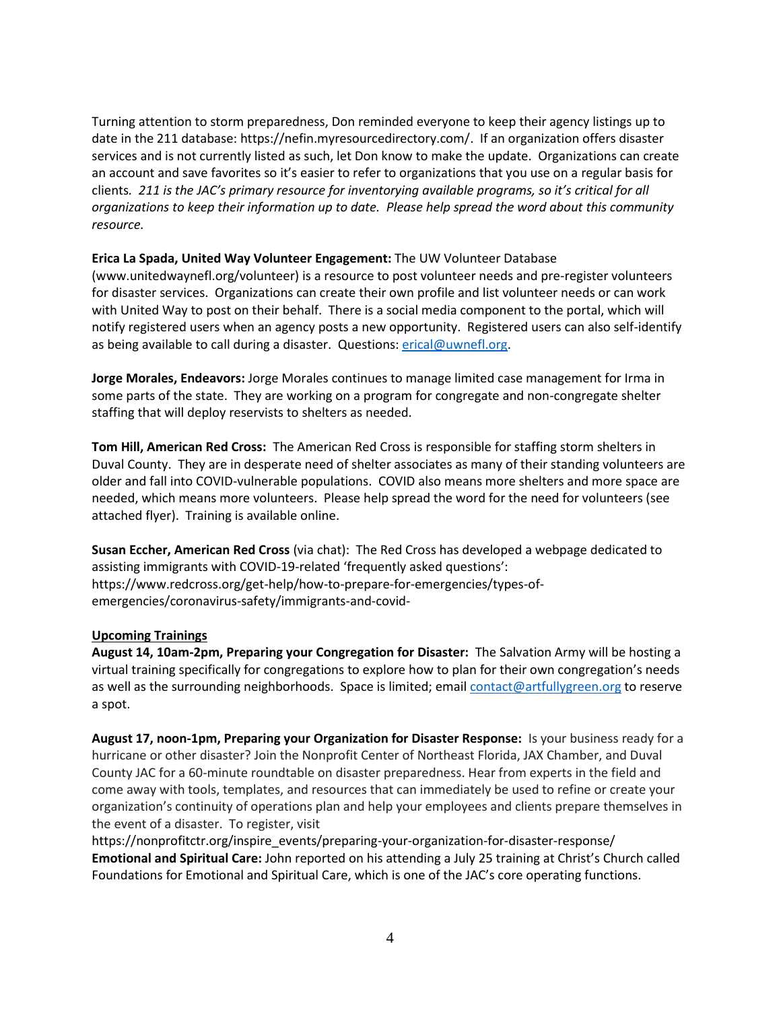Turning attention to storm preparedness, Don reminded everyone to keep their agency listings up to date in the 211 database: https://nefin.myresourcedirectory.com/. If an organization offers disaster services and is not currently listed as such, let Don know to make the update. Organizations can create an account and save favorites so it's easier to refer to organizations that you use on a regular basis for clients*. 211 is the JAC's primary resource for inventorying available programs, so it's critical for all organizations to keep their information up to date. Please help spread the word about this community resource.*

# **Erica La Spada, United Way Volunteer Engagement:** The UW Volunteer Database

(www.unitedwaynefl.org/volunteer) is a resource to post volunteer needs and pre-register volunteers for disaster services. Organizations can create their own profile and list volunteer needs or can work with United Way to post on their behalf. There is a social media component to the portal, which will notify registered users when an agency posts a new opportunity. Registered users can also self-identify as being available to call during a disaster. Questions: [erical@uwnefl.org.](mailto:erical@uwnefl.org)

**Jorge Morales, Endeavors:** Jorge Morales continues to manage limited case management for Irma in some parts of the state. They are working on a program for congregate and non-congregate shelter staffing that will deploy reservists to shelters as needed.

**Tom Hill, American Red Cross:** The American Red Cross is responsible for staffing storm shelters in Duval County. They are in desperate need of shelter associates as many of their standing volunteers are older and fall into COVID-vulnerable populations. COVID also means more shelters and more space are needed, which means more volunteers. Please help spread the word for the need for volunteers (see attached flyer). Training is available online.

**Susan Eccher, American Red Cross** (via chat): The Red Cross has developed a webpage dedicated to assisting immigrants with COVID-19-related 'frequently asked questions': https://www.redcross.org/get-help/how-to-prepare-for-emergencies/types-ofemergencies/coronavirus-safety/immigrants-and-covid-

#### **Upcoming Trainings**

**August 14, 10am-2pm, Preparing your Congregation for Disaster:** The Salvation Army will be hosting a virtual training specifically for congregations to explore how to plan for their own congregation's needs as well as the surrounding neighborhoods. Space is limited; emai[l contact@artfullygreen.org](mailto:coad@duvaldisasterrecovery.org) to reserve a spot.

**August 17, noon-1pm, Preparing your Organization for Disaster Response:** Is your business ready for a hurricane or other disaster? Join the Nonprofit Center of Northeast Florida, JAX Chamber, and Duval County JAC for a 60-minute roundtable on disaster preparedness. Hear from experts in the field and come away with tools, templates, and resources that can immediately be used to refine or create your organization's continuity of operations plan and help your employees and clients prepare themselves in the event of a disaster. To register, visit

https://nonprofitctr.org/inspire\_events/preparing-your-organization-for-disaster-response/ **Emotional and Spiritual Care:** John reported on his attending a July 25 training at Christ's Church called Foundations for Emotional and Spiritual Care, which is one of the JAC's core operating functions.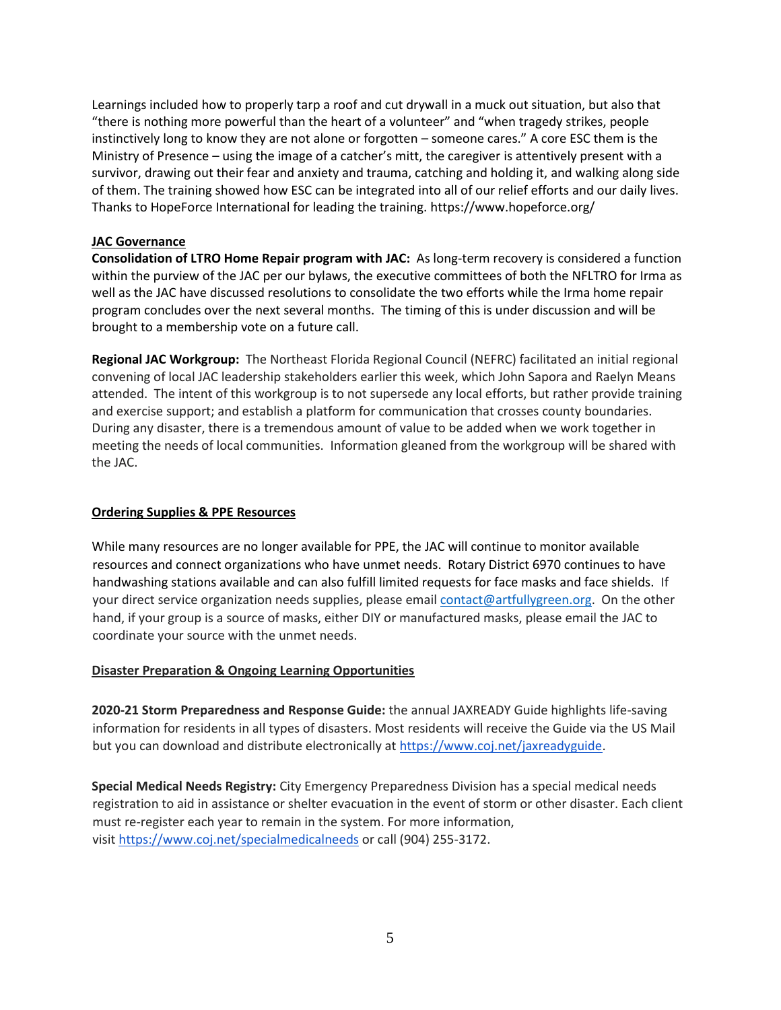Learnings included how to properly tarp a roof and cut drywall in a muck out situation, but also that "there is nothing more powerful than the heart of a volunteer" and "when tragedy strikes, people instinctively long to know they are not alone or forgotten – someone cares." A core ESC them is the Ministry of Presence – using the image of a catcher's mitt, the caregiver is attentively present with a survivor, drawing out their fear and anxiety and trauma, catching and holding it, and walking along side of them. The training showed how ESC can be integrated into all of our relief efforts and our daily lives. Thanks to HopeForce International for leading the training. https://www.hopeforce.org/

### **JAC Governance**

**Consolidation of LTRO Home Repair program with JAC:** As long-term recovery is considered a function within the purview of the JAC per our bylaws, the executive committees of both the NFLTRO for Irma as well as the JAC have discussed resolutions to consolidate the two efforts while the Irma home repair program concludes over the next several months. The timing of this is under discussion and will be brought to a membership vote on a future call.

**Regional JAC Workgroup:** The Northeast Florida Regional Council (NEFRC) facilitated an initial regional convening of local JAC leadership stakeholders earlier this week, which John Sapora and Raelyn Means attended. The intent of this workgroup is to not supersede any local efforts, but rather provide training and exercise support; and establish a platform for communication that crosses county boundaries. During any disaster, there is a tremendous amount of value to be added when we work together in meeting the needs of local communities. Information gleaned from the workgroup will be shared with the JAC.

## **Ordering Supplies & PPE Resources**

While many resources are no longer available for PPE, the JAC will continue to monitor available resources and connect organizations who have unmet needs. Rotary District 6970 continues to have handwashing stations available and can also fulfill limited requests for face masks and face shields. If your direct service organization needs supplies, please email [contact@artfullygreen.org.](mailto:coad@duvaldisasterrecovery.org) On the other hand, if your group is a source of masks, either DIY or manufactured masks, please email the JAC to coordinate your source with the unmet needs.

#### **Disaster Preparation & Ongoing Learning Opportunities**

**2020-21 Storm Preparedness and Response Guide:** the annual JAXREADY Guide highlights life-saving information for residents in all types of disasters. Most residents will receive the Guide via the US Mail but you can download and distribute electronically at [https://www.coj.net/jaxreadyguide.](https://www.coj.net/jaxreadyguide)

**Special Medical Needs Registry:** City Emergency Preparedness Division has a special medical needs registration to aid in assistance or shelter evacuation in the event of storm or other disaster. Each client must re-register each year to remain in the system. For more information, visit <https://www.coj.net/specialmedicalneeds> or call (904) 255-3172.